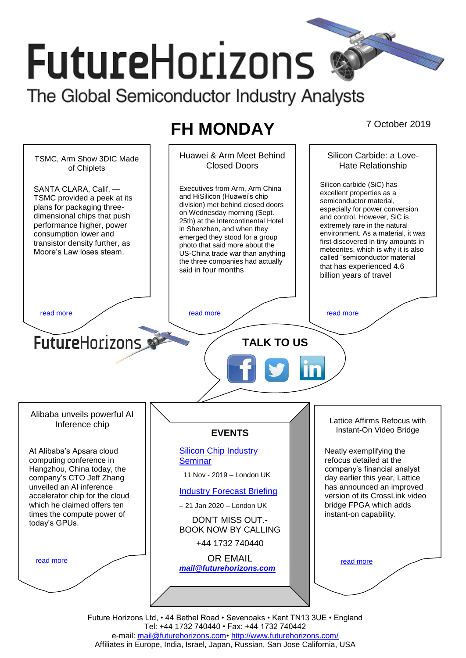# **FutureHorizons** The Global Semiconductor Industry Analysts

## **FH MONDAY** 7 October 2019

Huawei & Arm Meet Behind Silicon Carbide: a Love-TSMC, Arm Show 3DIC Made Closed Doors Hate Relationship of Chiplets Silicon carbide (SiC) has Executives from Arm, Arm China SANTA CLARA, Calif. excellent properties as a and HiSilicon (Huawei's chip TSMC provided a peek at its semiconductor material, division) met behind closed doors plans for packaging threeespecially for power conversion on Wednesday morning (Sept. dimensional chips that push and control. However, SiC is 25th) at the Intercontinental Hotel performance higher, power extremely rare in the natural in Shenzhen, and when they environment. As a material, it was consumption lower and emerged they stood for a group first discovered in tiny amounts in transistor density further, as photo that said more about the meteorites, which is why it is also Moore's Law loses steam. US-China trade war than anything called "semiconductor material the three companies had actually that has experienced 4.6 said in four months billion years of travel [read more](#page-1-1) that the second contract the second contract of the read more that the read more that the read more **Future**Horizons **TALK TO US** Alibaba unveils powerful AI Lattice Affirms Refocus with Inference chip Instant-On Video Bridge **EVENTS** [Silicon Chip Industry](http://www.futurehorizons.com/page/12/silicon-chip-training)  At Alibaba's Apsara cloud Neatly exemplifying the computing conference in **[Seminar](http://www.futurehorizons.com/page/12/silicon-chip-training)** refocus detailed at the Hangzhou, China today, the company's financial analyst 11 Nov - 2019 – London UK company's CTO Jeff Zhang day earlier this year, Lattice unveiled an AI inference has announced an improved [Industry Forecast Briefing](http://www.futurehorizons.com/page/13/Semiconductor-Market-Forecast-Seminar) accelerator chip for the cloud version of its CrossLink video bridge FPGA which adds which he claimed offers ten – 21 Jan 2020 – London UK times the compute power of instant-on capability. DON'T MISS OUT. today's GPUs.BOOK NOW BY CALLING +44 1732 740440 OR EMAIL [read more](#page-1-3) [read more](#page-1-4) *[mail@futurehorizons.com](mailto:mail@futurehorizons.com)*

Future Horizons Ltd, • 44 Bethel Road • Sevenoaks • Kent TN13 3UE • England Tel: +44 1732 740440 • Fax: +44 1732 740442 e-mail: [mail@futurehorizons.com•](../FH%20Monday%20-%202017/mail@futurehorizons.com)<http://www.futurehorizons.com/> Affiliates in Europe, India, Israel, Japan, Russian, San Jose California, USA